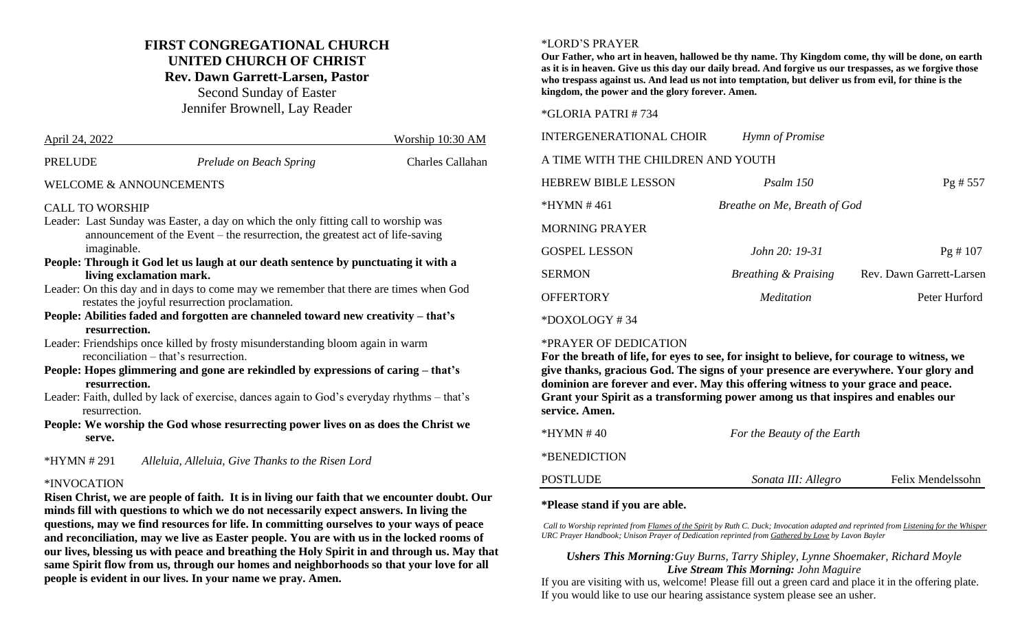## **FIRST CONGREGATIONAL CHURCH UNITED CHURCH OF CHRIST Rev. Dawn Garrett-Larsen, Pastor** Second Sunday of Easter

Jennifer Brownell, Lay Reader

| April 24, 2022          |                         | Worship 10:30 AM |
|-------------------------|-------------------------|------------------|
| <b>PRELUDE</b>          | Prelude on Beach Spring | Charles Callahan |
| WELCOME & ANNOUNCEMENTS |                         |                  |

#### CALL TO WORSHIP

- Leader: Last Sunday was Easter, a day on which the only fitting call to worship was announcement of the Event – the resurrection, the greatest act of life-saving imaginable.
- **People: Through it God let us laugh at our death sentence by punctuating it with a living exclamation mark.**
- Leader: On this day and in days to come may we remember that there are times when God restates the joyful resurrection proclamation.
- **People: Abilities faded and forgotten are channeled toward new creativity – that's resurrection.**
- Leader: Friendships once killed by frosty misunderstanding bloom again in warm reconciliation – that's resurrection.
- **People: Hopes glimmering and gone are rekindled by expressions of caring – that's resurrection.**
- Leader: Faith, dulled by lack of exercise, dances again to God's everyday rhythms that's resurrection.
- **People: We worship the God whose resurrecting power lives on as does the Christ we serve.**

\*HYMN # 291 *Alleluia, Alleluia, Give Thanks to the Risen Lord*

#### \*INVOCATION

**Risen Christ, we are people of faith. It is in living our faith that we encounter doubt. Our minds fill with questions to which we do not necessarily expect answers. In living the questions, may we find resources for life. In committing ourselves to your ways of peace and reconciliation, may we live as Easter people. You are with us in the locked rooms of our lives, blessing us with peace and breathing the Holy Spirit in and through us. May that same Spirit flow from us, through our homes and neighborhoods so that your love for all people is evident in our lives. In your name we pray. Amen.**

#### \*LORD'S PRAYER

**Our Father, who art in heaven, hallowed be thy name. Thy Kingdom come, thy will be done, on earth as it is in heaven. Give us this day our daily bread. And forgive us our trespasses, as we forgive those who trespass against us. And lead us not into temptation, but deliver us from evil, for thine is the kingdom, the power and the glory forever. Amen.**

#### \*GLORIA PATRI # 734

| <b>INTERGENERATIONAL CHOIR</b>     | Hymn of Promise                 |                          |  |  |
|------------------------------------|---------------------------------|--------------------------|--|--|
| A TIME WITH THE CHILDREN AND YOUTH |                                 |                          |  |  |
| <b>HEBREW BIBLE LESSON</b>         | Psalm 150                       | $Pg$ # 557               |  |  |
| $*HYMN \# 461$                     | Breathe on Me, Breath of God    |                          |  |  |
| <b>MORNING PRAYER</b>              |                                 |                          |  |  |
| <b>GOSPEL LESSON</b>               | <i>John</i> $20: 19-31$         | Pg # 107                 |  |  |
| <b>SERMON</b>                      | <b>Breathing &amp; Praising</b> | Rev. Dawn Garrett-Larsen |  |  |
| <b>OFFERTORY</b>                   | <i>Meditation</i>               | Peter Hurford            |  |  |
| $*$ DOXOLOGY #34                   |                                 |                          |  |  |

#### \*PRAYER OF DEDICATION

**For the breath of life, for eyes to see, for insight to believe, for courage to witness, we give thanks, gracious God. The signs of your presence are everywhere. Your glory and dominion are forever and ever. May this offering witness to your grace and peace. Grant your Spirit as a transforming power among us that inspires and enables our service. Amen.**

| *HYMN # 40   | For the Beauty of the Earth |                   |
|--------------|-----------------------------|-------------------|
| *BENEDICTION |                             |                   |
| POSTLUDE     | Sonata III: Allegro         | Felix Mendelssohn |

#### **\*Please stand if you are able.**

*Call to Worship reprinted from Flames of the Spirit by Ruth C. Duck; Invocation adapted and reprinted from Listening for the Whisper URC Prayer Handbook; Unison Prayer of Dedication reprinted from Gathered by Love by Lavon Bayler*

#### *Ushers This Morning:Guy Burns, Tarry Shipley, Lynne Shoemaker, Richard Moyle Live Stream This Morning: John Maguire*

If you are visiting with us, welcome! Please fill out a green card and place it in the offering plate. If you would like to use our hearing assistance system please see an usher.